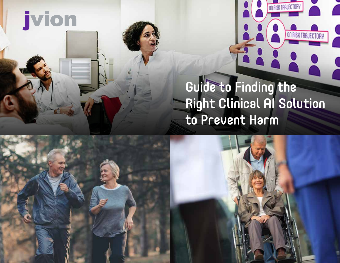

### Guide to Finding the Right Clinical AI Solution to Prevent Harm

ON RISK TRAJECTORY

ERRE.

ON RISK TRAJECTORY

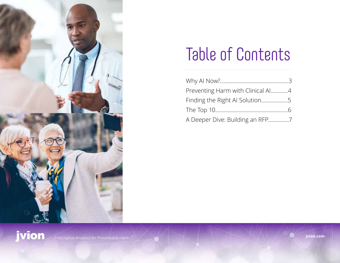

## Table of Contents

| Preventing Harm with Clinical Al4 |  |
|-----------------------------------|--|
| Finding the Right AI Solution5    |  |
|                                   |  |
| A Deeper Dive: Building an RFP7   |  |

jvion.com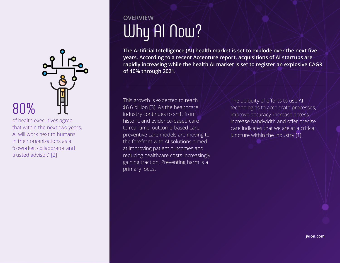

of health executives agree that within the next two years, AI will work next to humans in their organizations as a "coworker, collaborator and trusted advisor." [2]

### Why AI Now? **OVERVIEW**

**The Artificial Intelligence (AI) health market is set to explode over the next five years. According to a recent Accenture report, acquisitions of AI startups are rapidly increasing while the health AI market is set to register an explosive CAGR of 40% through 2021.** 

This growth is expected to reach \$6.6 billion [3]. As the healthcare industry continues to shift from historic and evidence-based care to real-time, outcome-based care, preventive care models are moving to the forefront with AI solutions aimed at improving patient outcomes and reducing healthcare costs increasingly gaining traction. Preventing harm is a primary focus. This growth is expected to reach<br>
\$6.6 billion [3]. As the healthcare<br>
industry continues to shift from<br>
The ubiquity of efforts to use AI<br>
technologies to accelerate proce<br>
improve accuracy, increase acce

technologies to accelerate processes, improve accuracy, increase access, increase bandwidth and offer precise care indicates that we are at a critical juncture within the industry [1].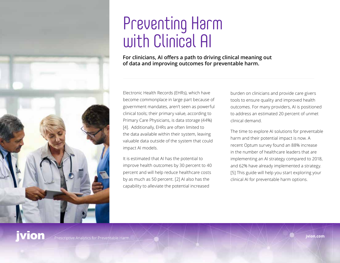

## Preventing Harm with Clinical AI

**For clinicians, AI offers a path to driving clinical meaning out of data and improving outcomes for preventable harm.**

Electronic Health Records (EHRs), which have become commonplace in large part because of government mandates, aren't seen as powerful clinical tools; their primary value, according to Primary Care Physicians, is data storage (44%) [4]. Additionally, EHRs are often limited to the data available within their system, leaving valuable data outside of the system that could impact AI models.

It is estimated that AI has the potential to improve health outcomes by 30 percent to 40 percent and will help reduce healthcare costs by as much as 50 percent. [2] AI also has the capability to alleviate the potential increased

burden on clinicians and provide care givers tools to ensure quality and improved health outcomes. For many providers, AI is positioned to address an estimated 20 percent of unmet clinical demand.

The time to explore AI solutions for preventable harm and their potential impact is now. A recent Optum survey found an 88% increase in the number of healthcare leaders that are implementing an AI strategy compared to 2018, and 62% have already implemented a strategy. [5] This guide will help you start exploring your clinical AI for preventable harm options.

### vion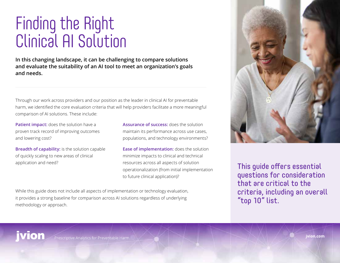## Finding the Right Clinical AI Solution

**In this changing landscape, it can be challenging to compare solutions and evaluate the suitability of an AI tool to meet an organization's goals and needs.** 

Through our work across providers and our position as the leader in clinical AI for preventable harm, we identified the core evaluation criteria that will help providers facilitate a more meaningful comparison of AI solutions. These include:

**Patient impact:** does the solution have a proven track record of improving outcomes and lowering cost?

**Breadth of capability:** is the solution capable of quickly scaling to new areas of clinical application and need?

**Assurance of success:** does the solution maintain its performance across use cases, populations, and technology environments?

**Ease of implementation:** does the solution minimize impacts to clinical and technical resources across all aspects of solution operationalization (from initial implementation to future clinical application)?

While this guide does not include all aspects of implementation or technology evaluation, it provides a strong baseline for comparison across AI solutions regardless of underlying methodology or approach.



This guide offers essential questions for consideration that are critical to the criteria, including an overall "top 10" list.

jvion.com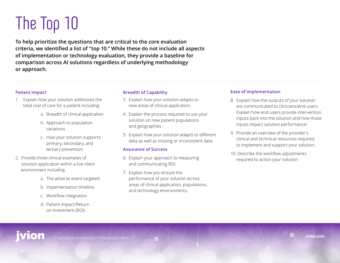# The Top 10

**To help prioritize the questions that are critical to the core evaluation criteria, we identified a list of "top 10." While these do not include all aspects of implementation or technology evaluation, they provide a baseline for comparison across AI solutions regardless of underlying methodology or approach.** 

#### **Patient Impact**

- 1. Explain how your solution addresses the total cost of care for a patient including:
	- a. Breadth of clinical application
	- b. Approach to population variations
	- c. How your solution supports primary, secondary, and tertiary prevention
- 2. Provide three clinical examples of solution application within a live client environment including:
	- a. The adverse event targeted
	- b. Implementation timeline
	- c. Workflow integration
	- d. Patient impact/Return on Investment (ROI)

### **Breadth of Capability**

- 3. Explain how your solution adapts to new areas of clinical application.
- 4. Explain the process required to use your solution on new patient populations and geographies.
- 5. Explain how your solution adapts to different data as well as missing or inconsistent data.

#### **Assurance of Success**

- 6. Explain your approach to measuring and communicating ROI.
- 7. Explain how you ensure the performance of your solution across areas of clinical application, populations, and technology environments.

### **Ease of Implementation**

- 8. Explain how the outputs of your solution are communicated to clinicians/end-users. Explain how end-users provide intervention inputs back into the solution and how those inputs impact solution performance.
- 9. Provide an overview of the provider's clinical and technical resources required to implement and support your solution.
- 10. Describe the workflow adjustments required to action your solution.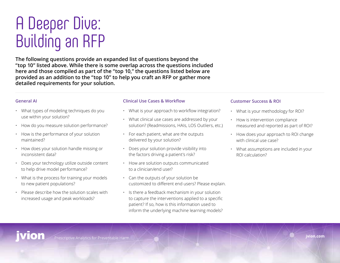## A Deeper Dive: Building an RFP

**The following questions provide an expanded list of questions beyond the "top 10" listed above. While there is some overlap across the questions included here and those compiled as part of the "top 10," the questions listed below are provided as an addition to the "top 10" to help you craft an RFP or gather more detailed requirements for your solution.**

#### **General AI**

- What types of modeling techniques do you use within your solution?
- How do you measure solution performance?
- How is the performance of your solution maintained?
- How does your solution handle missing or inconsistent data?
- Does your technology utilize outside content to help drive model performance?
- $\cdot$  What is the process for training your models to new patient populations?
- Please describe how the solution scales with increased usage and peak workloads?

#### **Clinical Use Cases & Workflow**

- What is your approach to workflow integration?
- What clinical use cases are addressed by your solution? (Readmissions, HAIs, LOS Outliers, etc.)
- For each patient, what are the outputs delivered by your solution?
- Does your solution provide visibility into the factors driving a patient's risk?
- How are solution outputs communicated to a clinician/end user?
- Can the outputs of your solution be customized to different end users? Please explain.
- Is there a feedback mechanism in your solution to capture the interventions applied to a specific patient? If so, how is this information used to inform the underlying machine learning models?

#### **Customer Success & ROI**

- What is your methodology for ROI?
- How is intervention compliance measured and reported as part of ROI?
- How does your approach to ROI change with clinical use case?
- What assumptions are included in your ROI calculation?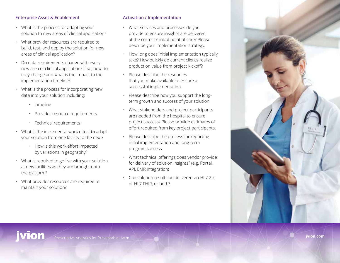#### **Enterprise Asset & Enablement**

- What is the process for adapting your solution to new areas of clinical application?
- What provider resources are required to build, test, and deploy the solution for new areas of clinical application?
- Do data requirements change with every new area of clinical application? If so, how do they change and what is the impact to the implementation timeline?
- What is the process for incorporating new data into your solution including:
	- Timeline
	- Provider resource requirements
	- Technical requirements
- What is the incremental work effort to adapt your solution from one facility to the next?
	- How is this work effort impacted by variations in geography?
- What is required to go live with your solution at new facilities as they are brought onto the platform?
- What provider resources are required to maintain your solution?

#### **Activation / Implementation**

- What services and processes do you provide to ensure insights are delivered at the correct clinical point of care? Please describe your implementation strategy.
- How long does initial implementation typically take? How quickly do current clients realize production value from project kickoff?
- Please describe the resources that you make available to ensure a successful implementation.
- Please describe how you support the longterm growth and success of your solution.
- What stakeholders and project participants are needed from the hospital to ensure project success? Please provide estimates of effort required from key project participants.
- Please describe the process for reporting initial implementation and long-term program success.
- What technical offerings does vendor provide for delivery of solution insights? (e.g. Portal, API, EMR integration)
- Can solution results be delivered via HL7 2.x, or HL7 FHIR, or both?

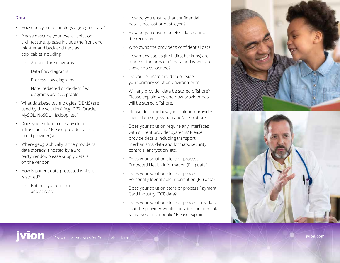#### **Data**

- How does your technology aggregate data?
- Please describe your overall solution architecture, (please include the front end, mid-tier and back end tiers as applicable) including:
	- Architecture diagrams
	- Data flow diagrams
	- Process flow diagrams
	- Note: redacted or deidentified diagrams are acceptable
- What database technologies (DBMS) are used by the solution? (e.g. DB2, Oracle, MySQL, NoSQL, Hadoop, etc.)
- Does your solution use any cloud infrastructure? Please provide name of cloud provider(s).
- Where geographically is the provider's data stored? If hosted by a 3rd party vendor, please supply details on the vendor.
- How is patient data protected while it is stored?
	- Is it encrypted in transit and at rest?
- How do you ensure that confidential data is not lost or destroyed?
- How do you ensure deleted data cannot be recreated?
- Who owns the provider's confidential data?
- How many copies (including backups) are made of the provider's data and where are these copies located?
- Do you replicate any data outside your primary solution environment?
- Will any provider data be stored offshore? Please explain why and how provider data will be stored offshore.
- Please describe how your solution provides client data segregation and/or isolation?
- Does your solution require any interfaces with current provider systems? Please provide details including transport mechanisms, data and formats, security controls, encryption, etc.
- Does your solution store or process Protected Health Information (PHI) data?
- Does your solution store or process Personally Identifiable Information (PII) data?
- Does your solution store or process Payment Card Industry (PCI) data?
- Does your solution store or process any data that the provider would consider confidential, sensitive or non-public? Please explain.





jvion.com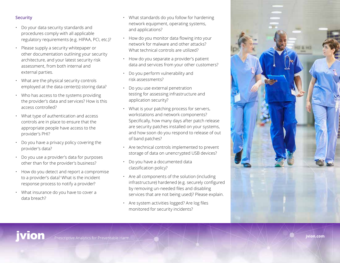#### **Security**

- Do your data security standards and procedures comply with all applicable regulatory requirements (e.g. HIPAA, PCI, etc.)?
- Please supply a security whitepaper or other documentation outlining your security architecture, and your latest security risk assessment, from both internal and external parties.
- What are the physical security controls employed at the data center(s) storing data?
- Who has access to the systems providing the provider's data and services? How is this access controlled?
- What type of authentication and access controls are in place to ensure that the appropriate people have access to the provider's PHI?
- Do you have a privacy policy covering the provider's data?
- Do you use a provider's data for purposes other than for the provider's business?
- How do you detect and report a compromise to a provider's data? What is the incident response process to notify a provider?
- What insurance do you have to cover a data breach?
- What standards do you follow for hardening network equipment, operating systems, and applications?
- How do you monitor data flowing into your network for malware and other attacks? What technical controls are utilized?
- How do you separate a provider's patient data and services from your other customers?
- Do you perform vulnerability and risk assessments?
- Do you use external penetration testing for assessing infrastructure and application security?
- What is your patching process for servers, workstations and network components? Specifically, how many days after patch release are security patches installed on your systems, and how soon do you respond to release of out of band patches?
- Are technical controls implemented to prevent storage of data on unencrypted USB devices?
- Do you have a documented data classification policy?
- Are all components of the solution (including infrastructure) hardened (e.g. securely configured by removing un-needed files and disabling services that are not being used)? Please explain.
- Are system activities logged? Are log files monitored for security incidents?